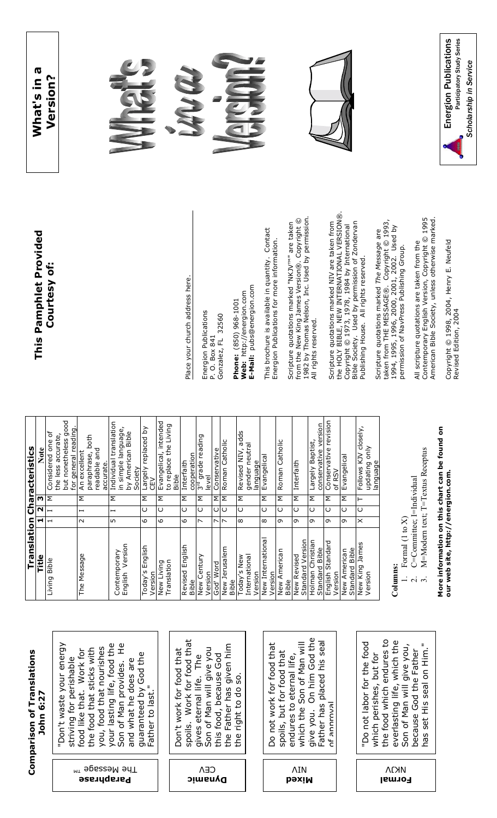| <b>Comparison of Translations</b><br>6:27 | "Don't waste your energy<br>the<br>Ψ<br>food that nourishes<br>with<br>Work for<br>God the<br>striving for perishable<br>what he does are<br>food<br>of Man provides.<br>sticks<br>lasting life,<br>$sl.$ "<br>that.<br>that<br>$\overline{c}$ | Work for food that<br>min<br>E<br>of Man will give you<br>that<br>food, because God<br>The<br>given<br>work for food<br>SO.<br>gives eternal life.<br>Father has<br>응<br>م£ | God the<br>seal<br>Son of Man will<br>that<br>but for food that<br>eternal life,<br>his<br>for food<br>On him<br>placed<br>work | endures to<br>which the<br>for the food<br>Ξ<br>give you,<br>on Him.<br>Father<br>but for<br>God the<br>seal<br>life,<br>not labor             |
|-------------------------------------------|------------------------------------------------------------------------------------------------------------------------------------------------------------------------------------------------------------------------------------------------|-----------------------------------------------------------------------------------------------------------------------------------------------------------------------------|---------------------------------------------------------------------------------------------------------------------------------|------------------------------------------------------------------------------------------------------------------------------------------------|
| John                                      | guaranteed by<br>food like<br>food<br>Father<br>your<br>you,<br>Son<br>and<br>the<br>f<br>The Message<br>Paraphrase                                                                                                                            | right<br>spoils.<br>Don't<br>Son<br>this<br>the<br>the<br>CEV<br><b>Dynamic</b>                                                                                             | endures to<br><b>ENUTURE</b><br>Father has<br>which the<br>give you.<br>not<br>spoils,<br>δo<br>$\tau$<br>ΛIΝ<br><b>b</b> əxiM  | Son of Man will<br>which perishes,<br>the food which<br>everlasting<br>йH<br>because<br>set<br>ρQ <sub>ı</sub><br>has<br><b>NKJV</b><br>Formal |

| Translation                             |                          |                          |          | <b>Characteristics</b>                                                                    |
|-----------------------------------------|--------------------------|--------------------------|----------|-------------------------------------------------------------------------------------------|
| Title                                   | ᆋ                        | 2                        | w        | Note                                                                                      |
| Bible<br>Living                         | $\overline{\phantom{0}}$ | $\overline{\phantom{0}}$ | Σ        | good<br>for general reading<br>Considered one of<br>the less accurate,<br>but nonetheless |
| The Message                             | $\sim$                   | $\overline{\phantom{0}}$ | Σ        | both<br>readable and<br>An excellent<br>paraphrase,<br>accurate.                          |
| Version<br>Contemporary<br>English      | 5                        | I                        | Σ        | Individual translation<br>in simple language,<br>by American Bible<br>Society             |
| English<br>Today's<br>Version           | 0                        | O                        | Σ        | έ<br>Largely replaced<br>ر<br>تا                                                          |
| Translation<br>New Living               | $\circ$                  | $\cup$                   | Σ        | Evangelical, intended<br>to replace the Living<br>Bible                                   |
| English<br>Revised<br>Bible             | 9                        | $\cup$                   | Σ        | cooperation<br>Interfaith                                                                 |
| New Century<br>Version                  | $\overline{ }$           | O                        | Σ        | 3 <sup>rd</sup> grade reading<br>level                                                    |
| God' Word                               |                          | O                        | Σ        | Conservative                                                                              |
| New Jerusalem<br><b>Bible</b>           | $\overline{ }$           | ပ                        | Σ        | Roman Catholic                                                                            |
| International<br>Today's New<br>Version | $\infty$                 | O                        | Σ        | adds<br>gender neutral<br>Revised NIV,<br>language                                        |
| New International<br>Version            | $\infty$                 | $\cup$                   | Σ        | Evangelical                                                                               |
| New American<br><b>Bible</b>            | G                        | O                        | Σ        | Roman Catholic                                                                            |
| Standard Version<br>New Revised         | Ō                        | $\cup$                   | Σ        | Interfaith                                                                                |
| Holman Christian<br>Standard Bible      | G                        | $\cup$                   | Σ        | conservative version<br>Largely Baptist,                                                  |
| Standard<br>English<br>Version          | G                        | $\cup$                   | Σ        | Conservative revision<br>of RSV                                                           |
| Bible<br>New American<br>Standard       | G                        | $\cup$                   | Σ        | Evangelical                                                                               |
| New King James<br>Version               | $\times$                 | $\cup$                   | $\vdash$ | Follows KJV closely,<br>only<br>language<br>updating                                      |
|                                         |                          |                          |          |                                                                                           |

#### olumns: **Columns:**

- 1. Formal  $(1 \text{ to } X)$ 1. Formal (1 to X)
- C=Committee; I=Individual 2. C=Committee; I=Individual  $\frac{1}{2}$
- M=Modern text; T=Textus Receptus 3. M=Modern text; T=Textus Receptus

More information on this chart can be found on **More information on this chart can be found on**  our web site, http://energion.com. **our web site, http://energion.com.** 

**This Pamphlet Provided**  This Pamphlet Provided **Courtesy of:**  Courtesy of:

**What's in a**  What's in a **Version?**  Version?







Place your church address here. Place your church address here.

Energion Publications<br>P. O. Box 841 Energion Publications Gonzalez, FL 32560 Gonzalez, FL 32560 P. O. Box 841

E-Mail: pubs@energion.com **E-Mail:** pubs@energion.com Web: http://energion.com **Web:** http://energion.com Phone: (850) 968-1001 **Phone:** (850) 968-1001

This brochure is available in quantity. Contact<br>Energion Publications for more information. This brochure is available in quantity. Contact Energion Publications for more information.

from the New King James Version®. Copyright ©<br>1982 by Thomas Nelson, Inc. Used by permission. 1982 by Thomas Nelson, Inc. Used by permission. from the New King James Version®. Copyright © Scripture quotations marked "NKJV<sup>™"</sup> are taken Scripture quotations marked "NKJV<sup>™"</sup> are taken All rights reserved. All rights reserved.

the HOLY BIBLE, NEW INTERNATIONAL VERSIONÆ. Scripture quotations marked NIV are taken from<br>the HOLY BIBLE, NEW INTERNATIONAL VERSION®. Copyright © 1973, 1978, 1984 by International<br>Bible Society. Used by permission of Zondervan<br>Publishing House. All rights reserved. Scripture quotations marked NIV are taken from Bible Society. Used by permission of Zondervan Copyright © 1973, 1978, 1984 by International Publishing House. All rights reserved.

taken from THE MESSAGEÆ. Copyright © 1993, Scripture quotations marked *The Message* are<br>taken from THE MESSAGE®. Copyright © 1993,<br>1994, 1995, 1996, 2000, 2001, 2002. Used by<br>permission of NavPress Publishing Group. 1994, 1995, 1996, 2000, 2001, 2002. Used by Scripture quotations marked *The Message* are permission of NavPress Publishing Group.

American Bible Society, unless otherwise marked. Contemporary English Version, Copyright © 1995 All scripture quotations are taken from the<br>Contemporary English Version, Copyright © 1995<br>American Bible Society, unless otherwise marked. All scripture quotations are taken from the

Copyright © 1998, 2004, Henry E. Neufeld Copyright © 1998, 2004, Henry E. Neufeld Revised Edition, 2004 Revised Edition, 2004